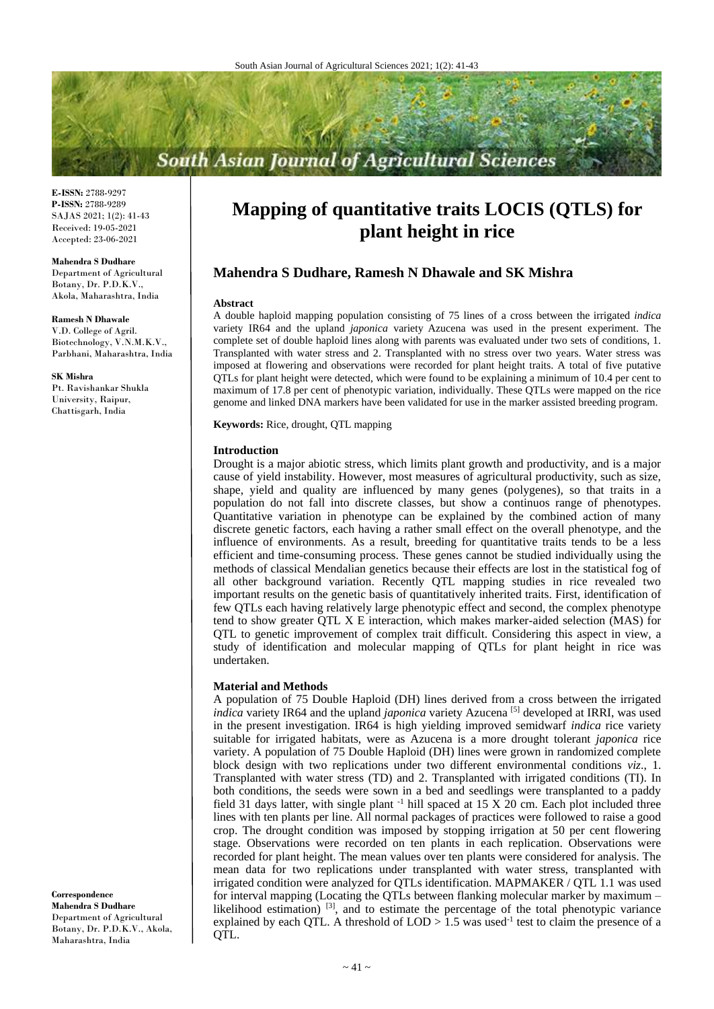# **South Asian Journal of Agricultural Sciences**

**E-ISSN:** 2788-9297 **P-ISSN:** 2788-9289 SAJAS 2021; 1(2): 41-43 Received: 19-05-2021 Accepted: 23-06-2021

**Mahendra S Dudhare**

Department of Agricultural Botany, Dr. P.D.K.V., Akola, Maharashtra, India

**Ramesh N Dhawale** V.D. College of Agril. Biotechnology, V.N.M.K.V., Parbhani, Maharashtra, India

**SK Mishra** Pt. Ravishankar Shukla University, Raipur, Chattisgarh, India

**Correspondence Mahendra S Dudhare** Department of Agricultural Botany, Dr. P.D.K.V., Akola, Maharashtra, India

## **Mapping of quantitative traits LOCIS (QTLS) for plant height in rice**

### **Mahendra S Dudhare, Ramesh N Dhawale and SK Mishra**

#### **Abstract**

A double haploid mapping population consisting of 75 lines of a cross between the irrigated *indica* variety IR64 and the upland *japonica* variety Azucena was used in the present experiment. The complete set of double haploid lines along with parents was evaluated under two sets of conditions, 1. Transplanted with water stress and 2. Transplanted with no stress over two years. Water stress was imposed at flowering and observations were recorded for plant height traits. A total of five putative QTLs for plant height were detected, which were found to be explaining a minimum of 10.4 per cent to maximum of 17.8 per cent of phenotypic variation, individually. These QTLs were mapped on the rice genome and linked DNA markers have been validated for use in the marker assisted breeding program.

**Keywords:** Rice, drought, QTL mapping

#### **Introduction**

Drought is a major abiotic stress, which limits plant growth and productivity, and is a major cause of yield instability. However, most measures of agricultural productivity, such as size, shape, yield and quality are influenced by many genes (polygenes), so that traits in a population do not fall into discrete classes, but show a continuos range of phenotypes. Quantitative variation in phenotype can be explained by the combined action of many discrete genetic factors, each having a rather small effect on the overall phenotype, and the influence of environments. As a result, breeding for quantitative traits tends to be a less efficient and time-consuming process. These genes cannot be studied individually using the methods of classical Mendalian genetics because their effects are lost in the statistical fog of all other background variation. Recently QTL mapping studies in rice revealed two important results on the genetic basis of quantitatively inherited traits. First, identification of few QTLs each having relatively large phenotypic effect and second, the complex phenotype tend to show greater QTL X E interaction, which makes marker-aided selection (MAS) for QTL to genetic improvement of complex trait difficult. Considering this aspect in view, a study of identification and molecular mapping of QTLs for plant height in rice was undertaken.

#### **Material and Methods**

A population of 75 Double Haploid (DH) lines derived from a cross between the irrigated *indica* variety IR64 and the upland *japonica* variety Azucena<sup>[5]</sup> developed at IRRI, was used in the present investigation. IR64 is high yielding improved semidwarf *indica* rice variety suitable for irrigated habitats, were as Azucena is a more drought tolerant *japonica* rice variety. A population of 75 Double Haploid (DH) lines were grown in randomized complete block design with two replications under two different environmental conditions *viz*., 1. Transplanted with water stress (TD) and 2. Transplanted with irrigated conditions (TI). In both conditions, the seeds were sown in a bed and seedlings were transplanted to a paddy field 31 days latter, with single plant  $^{-1}$  hill spaced at 15 X 20 cm. Each plot included three lines with ten plants per line. All normal packages of practices were followed to raise a good crop. The drought condition was imposed by stopping irrigation at 50 per cent flowering stage. Observations were recorded on ten plants in each replication. Observations were recorded for plant height. The mean values over ten plants were considered for analysis. The mean data for two replications under transplanted with water stress, transplanted with irrigated condition were analyzed for QTLs identification. MAPMAKER / QTL 1.1 was used for interval mapping (Locating the QTLs between flanking molecular marker by maximum – likelihood estimation) <sup>[3]</sup>, and to estimate the percentage of the total phenotypic variance explained by each QTL. A threshold of  $\text{LOD} > 1.5$  was used<sup>-1</sup> test to claim the presence of a QTL.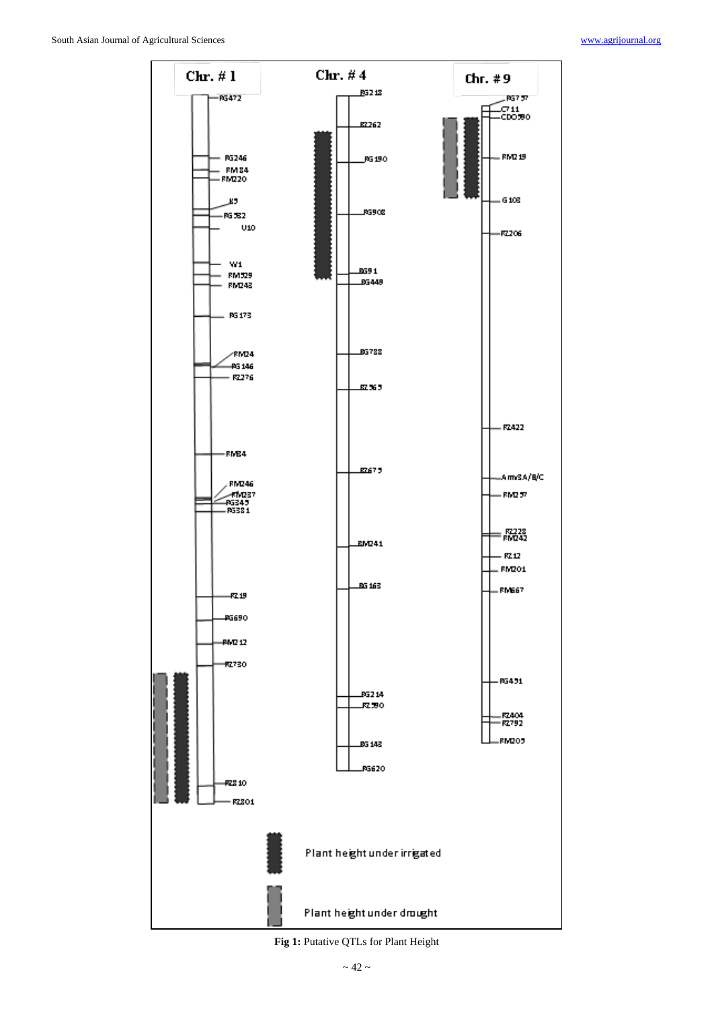

**Fig 1:** Putative QTLs for Plant Height